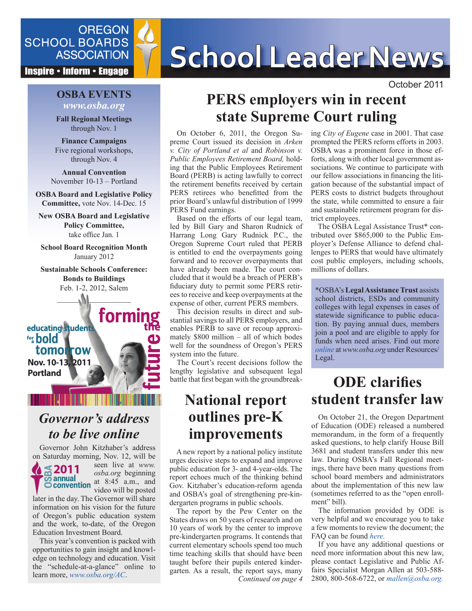

**Inspire • Inform • Engage** 

### **OSBA EVENTS** *www.osba.org*

**Fall Regional Meetings** through Nov. 1

**Finance Campaigns** Five regional workshops, through Nov. 4

**Annual Convention** November 10-13 – Portland

**OSBA Board and Legislative Policy Committee,** vote Nov. 14-Dec. 15

**New OSBA Board and Legislative Policy Committee,**  take office Jan. 1

**School Board Recognition Month** January 2012

**Sustainable Schools Conference: Bonds to Buildings** Feb. 1-2, 2012, Salem

 $-$ – $\sqrt{M}$ 

formi educating students for **bold** tomorrow **Nov. 10-13, 2011 Portland**

## *Governor's address to be live online*

Governor John Kitzhaber's address on Saturday morning, Nov. 12, will be



**2011** *osba.org* beginning seen live at *www.* at 8:45 a.m., and video will be posted

later in the day. The Governor will share information on his vision for the future of Oregon's public education system and the work, to-date, of the Oregon Education Investment Board.

This year's convention is packed with opportunities to gain insight and knowledge on technology and education. Visit the "schedule-at-a-glance" online to learn more, *[www.osba.org/AC](http://www.osba.org/ac)*.

# SCHOOL BOARDS<br>ASSOCIATION School Leader News

October 2011

## **PERS employers win in recent state Supreme Court ruling**

On October 6, 2011, the Oregon Supreme Court issued its decision in *Arken v. City of Portland et al* and *Robinson v. Public Employees Retirement Board,* holding that the Public Employees Retirement Board (PERB) is acting lawfully to correct the retirement benefits received by certain PERS retirees who benefitted from the prior Board's unlawful distribution of 1999 PERS Fund earnings.

Based on the efforts of our legal team, led by Bill Gary and Sharon Rudnick of Harrang Long Gary Rudnick P.C., the Oregon Supreme Court ruled that PERB is entitled to end the overpayments going forward and to recover overpayments that have already been made. The court concluded that it would be a breach of PERB's fiduciary duty to permit some PERS retirees to receive and keep overpayments at the expense of other, current PERS members.

This decision results in direct and substantial savings to all PERS employers, and enables PERB to save or recoup approximately \$800 million – all of which bodes well for the soundness of Oregon's PERS system into the future.

The Court's recent decisions follow the lengthy legislative and subsequent legal battle that first began with the groundbreak-

## **National report outlines pre-K improvements**

A new report by a national policy institute urges decisive steps to expand and improve public education for 3- and 4-year-olds. The report echoes much of the thinking behind Gov. Kitzhaber's education-reform agenda and OSBA's goal of strengthening pre-kindergarten programs in public schools.

*Continued on page 4* The report by the Pew Center on the States draws on 50 years of research and on 10 years of work by the center to improve pre-kindergarten programs. It contends that current elementary schools spend too much time teaching skills that should have been taught before their pupils entered kindergarten. As a result, the report says, many

ing *City of Eugene* case in 2001. That case prompted the PERS reform efforts in 2003. OSBA was a prominent force in those efforts, along with other local government associations. We continue to participate with our fellow associations in financing the litigation because of the substantial impact of PERS costs to district budgets throughout the state, while committed to ensure a fair and sustainable retirement program for district employees.

The OSBA Legal Assistance Trust\* contributed over \$865,000 to the Public Employer's Defense Alliance to defend challenges to PERS that would have ultimately cost public employers, including schools, millions of dollars.

\*OSBA's **Legal Assistance Trust** assists school districts, ESDs and community colleges with legal expenses in cases of statewide significance to public education. By paying annual dues, members join a pool and are eligible to apply for funds when need arises. Find out more *[online](http://www.osba.org/Resources/Article/Legal/Legal-Legal_Assistance_Trust.aspx)* at *www.osba.org* under Resources/ Legal.

## **ODE clarifies student transfer law**

On October 21, the Oregon Department of Education (ODE) released a numbered memorandum, in the form of a frequently asked questions, to help clarify House Bill 3681 and student transfers under this new law. During OSBA's Fall Regional meetings, there have been many questions from school board members and administrators about the implementation of this new law (sometimes referred to as the "open enrollment" bill).

The information provided by ODE is very helpful and we encourage you to take a few moments to review the document; the FAQ can be found *[here.](http://www.ode.state.or.us/news/announcements/announcement.aspx?ID=7750&TypeID=4)*

If you have any additional questions or need more information about this new law, please contact Legislative and Public Affairs Specialist Morgan Allen at 503-588- 2800, 800-568-6722, or *[mallen@osba.org.](mailto:mallen@osba.org)*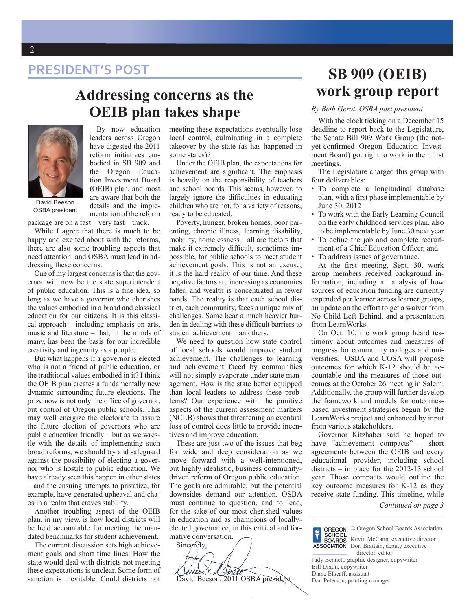## **PRESIDENT'S POST**

## **Addressing concerns as the OEIB plan takes shape**



By now education leaders across Oregon have digested the 2011 reform initiatives embodied in SB 909 and the Oregon Education Investment Board (OEIB) plan, and most are aware that both the details and the implementation of the reform

OSBA president

package are on a fast – very fast – track.

While I agree that there is much to be happy and excited about with the reforms, there are also some troubling aspects that need attention, and OSBA must lead in addressing these concerns.

One of my largest concerns is that the governor will now be the state superintendent of public education. This is a fine idea, so long as we have a governor who cherishes the values embodied in a broad and classical education for our citizens. It is this classical approach – including emphasis on arts, music and literature – that, in the minds of many, has been the basis for our incredible creativity and ingenuity as a people.

But what happens if a governor is elected who is not a friend of public education, or the traditional values embodied in it? I think the OEIB plan creates a fundamentally new dynamic surrounding future elections. The prize now is not only the office of governor, but control of Oregon public schools. This may well energize the electorate to assure the future election of governors who are public education friendly – but as we wrestle with the details of implementing such broad reforms, we should try and safeguard against the possibility of electing a governor who is hostile to public education. We have already seen this happen in other states – and the ensuing attempts to privatize, for example, have generated upheaval and chaos in a realm that craves stability.

Another troubling aspect of the OEIB plan, in my view, is how local districts will be held accountable for meeting the mandated benchmarks for student achievement.

The current discussion sets high achievement goals and short time lines. How the state would deal with districts not meeting these expectations is unclear. Some form of sanction is inevitable. Could districts not

meeting these expectations eventually lose local control, culminating in a complete takeover by the state (as has happened in some states)?

Under the OEIB plan, the expectations for achievement are significant. The emphasis is heavily on the responsibility of teachers and school boards. This seems, however, to largely ignore the difficulties in educating children who are not, for a variety of reasons, ready to be educated.

Poverty, hunger, broken homes, poor parenting, chronic illness, learning disability, mobility, homelessness – all are factors that make it extremely difficult, sometimes impossible, for public schools to meet student achievement goals. This is not an excuse; it is the hard reality of our time. And these negative factors are increasing as economies falter, and wealth is concentrated in fewer hands. The reality is that each school district, each community, faces a unique mix of challenges. Some bear a much heavier burden in dealing with these difficult barriers to student achievement than others.

We need to question how state control of local schools would improve student achievement. The challenges to learning and achievement faced by communities will not simply evaporate under state management. How is the state better equipped than local leaders to address these problems? Our experience with the punitive aspects of the current assessment markers (NCLB) shows that threatening an eventual loss of control does little to provide incentives and improve education.

These are just two of the issues that beg for wide and deep consideration as we move forward with a well-intentioned, but highly idealistic, business communitydriven reform of Oregon public education. The goals are admirable, but the potential downsides demand our attention. OSBA must continue to question, and to lead, for the sake of our most cherished values in education and as champions of locallyelected governance, in this critical and formative conversation. Sincerely.

recent ,  $\rho$ Jaco David Beeson, 2011 OSBA president

## **SB 909 (OEIB) work group report**

#### *By Beth Gerot, OSBA past president*

With the clock ticking on a December 15 deadline to report back to the Legislature, the Senate Bill 909 Work Group (the notyet-confirmed Oregon Education Investment Board) got right to work in their first meetings.

The Legislature charged this group with four deliverables:

- To complete a longitudinal database plan, with a first phase implementable by June 30, 2012
- To work with the Early Learning Council on the early childhood services plan, also to be implementable by June 30 next year
- To define the job and complete recruitment of a Chief Education Officer, and
- To address issues of governance.

At the first meeting, Sept. 30, work group members received background information, including an analysis of how sources of education funding are currently expended per learner across learner groups, an update on the effort to get a waiver from No Child Left Behind, and a presentation from LearnWorks.

On Oct. 10, the work group heard testimony about outcomes and measures of progress for community colleges and universities. OSBA and COSA will propose outcomes for which K-12 should be accountable and the measures of those outcomes at the October 26 meeting in Salem. Additionally, the group will further develop the framework and models for outcomesbased investment strategies begun by the LearnWorks project and enhanced by input from various stakeholders.

Governor Kitzhaber said he hoped to have "achievement compacts" – short agreements between the OEIB and every educational provider, including school districts – in place for the 2012-13 school year. Those compacts would outline the key outcome measures for K-12 as they receive state funding. This timeline, while

*Continued on page 3*

© Oregon School Boards Association  $\blacklozenge$ SCHOOL<br>BOARDS Kevin McCann, executive director **ASSOCIATION** Dori Brattain, deputy executive director, editor Judy Bennett, graphic designer, copywriter Bill Dixon, copywriter Diane Efseaff, assistant Dan Peterson, printing manager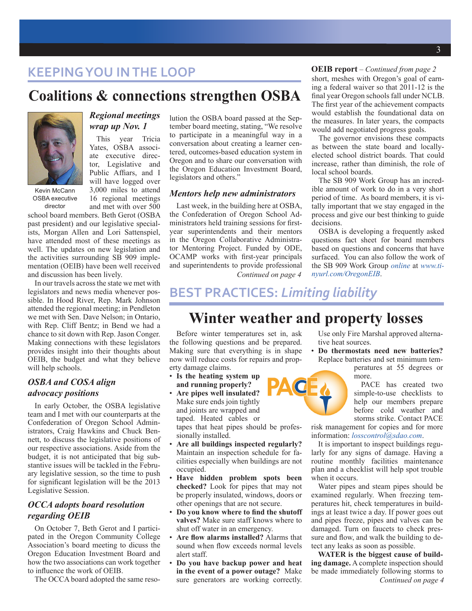## **KEEPING YOU IN THE LOOP**

## **Coalitions & connections strengthen OSBA**



OSBA executive director

#### *Regional meetings wrap up Nov. 1*

This year Tricia Yates, OSBA associate executive director, Legislative and Public Affiars, and I will have logged over 3,000 miles to attend 16 regional meetings and met with over 500

school board members. Beth Gerot (OSBA past president) and our legislative specialists, Morgan Allen and Lori Sattenspiel, have attended most of these meetings as well. The updates on new legislation and the activities surrounding SB 909 implementation (OEIB) have been well received and discussion has been lively.

In our travels across the state we met with legislators and news media whenever possible. In Hood River, Rep. Mark Johnson attended the regional meeting; in Pendleton we met with Sen. Dave Nelson; in Ontario, with Rep. Cliff Bentz; in Bend we had a chance to sit down with Rep. Jason Conger. Making connections with these legislators provides insight into their thoughts about OEIB, the budget and what they believe will help schools.

#### *OSBA and COSA align advocacy positions*

In early October, the OSBA legislative team and I met with our counterparts at the Confederation of Oregon School Administrators, Craig Hawkins and Chuck Bennett, to discuss the legislative positions of our respective associations. Aside from the budget, it is not anticipated that big substantive issues will be tackled in the February legislative session, so the time to push for significant legislation will be the 2013 Legislative Session.

#### *OCCA adopts board resolution regarding OEIB*

On October 7, Beth Gerot and I participated in the Oregon Community College Association's board meeting to dicuss the Oregon Education Investment Board and how the two associations can work together to influence the work of OEIB.

The OCCA board adopted the same reso-

lution the OSBA board passed at the September board meeting, stating, "We resolve to participate in a meaningful way in a conversation about creating a learner centered, outcomes-based education system in Oregon and to share our conversation with the Oregon Education Investment Board, legislators and others."

#### *Mentors help new administrators*

*Continued on page 4* Last week, in the building here at OSBA, the Confederation of Oregon School Administrators held training sessions for firstyear superintendents and their mentors in the Oregon Collaborative Administrator Mentoring Project. Funded by ODE, OCAMP works with first-year principals and superintendents to provide professional

#### **OEIB report** *– Continued from page 2*

short, meshes with Oregon's goal of earning a federal waiver so that 2011-12 is the final year Oregon schools fall under NCLB. The first year of the achievement compacts would establish the foundational data on the measures. In later years, the compacts would add negotiated progress goals.

The governor envisions these compacts as between the state board and locallyelected school district boards. That could increase, rather than diminish, the role of local school boards.

The SB 909 Work Group has an incredible amount of work to do in a very short period of time. As board members, it is vitally important that we stay engaged in the process and give our best thinking to guide decisions.

OSBA is developing a frequently asked questions fact sheet for board members based on questions and concerns that have surfaced. You can also follow the work of the SB 909 Work Group *[online](http://governor.oregon.gov/Gov/OEIB/OregonEducationInvestmentBoard.shtml)* at *[www.ti](http://www.tinyurl.com/OregonEIB)[nyurl.com/OregonEIB](http://www.tinyurl.com/OregonEIB)*.

## **BEST PRACTICES:** *Limiting liability*

## **Winter weather and property losses**

Before winter temperatures set in, ask the following questions and be prepared. Making sure that everything is in shape now will reduce costs for repairs and property damage claims.

- **Is the heating system up and running properly?**
- **Are pipes well insulated?**  Make sure ends join tightly and joints are wrapped and taped. Heated cables or tapes that heat pipes should be professionally installed.
- **Are all buildings inspected regularly?** Maintain an inspection schedule for facilities especially when buildings are not occupied.
- **Have hidden problem spots been checked?** Look for pipes that may not be properly insulated, windows, doors or other openings that are not secure.
- **Do you know where to find the shutoff valves?** Make sure staff knows where to shut off water in an emergency.
- **Are flow alarms installed?** Alarms that sound when flow exceeds normal levels alert staff.
- **Do you have backup power and heat in the event of a power outage?** Make sure generators are working correctly.

Use only Fire Marshal approved alternative heat sources.

• **Do thermostats need new batteries?**  Replace batteries and set minimum temperatures at 55 degrees or more.

> PACE has created two simple-to-use checklists to help our members prepare before cold weather and storms strike. Contact PACE

risk management for copies and for more information: *[losscontrol@sdao.com](mailto:losscontrol%40sdao.com?subject=)*.

It is important to inspect buildings regularly for any signs of damage. Having a routine monthly facilities maintenance plan and a checklist will help spot trouble when it occurs.

Water pipes and steam pipes should be examined regularly. When freezing temperatures hit, check temperatures in buildings at least twice a day. If power goes out and pipes freeze, pipes and valves can be damaged. Turn on faucets to check pressure and flow, and walk the building to detect any leaks as soon as possible.

*Continued on page 4* **WATER is the biggest cause of building damage.** A complete inspection should be made immediately following storms to